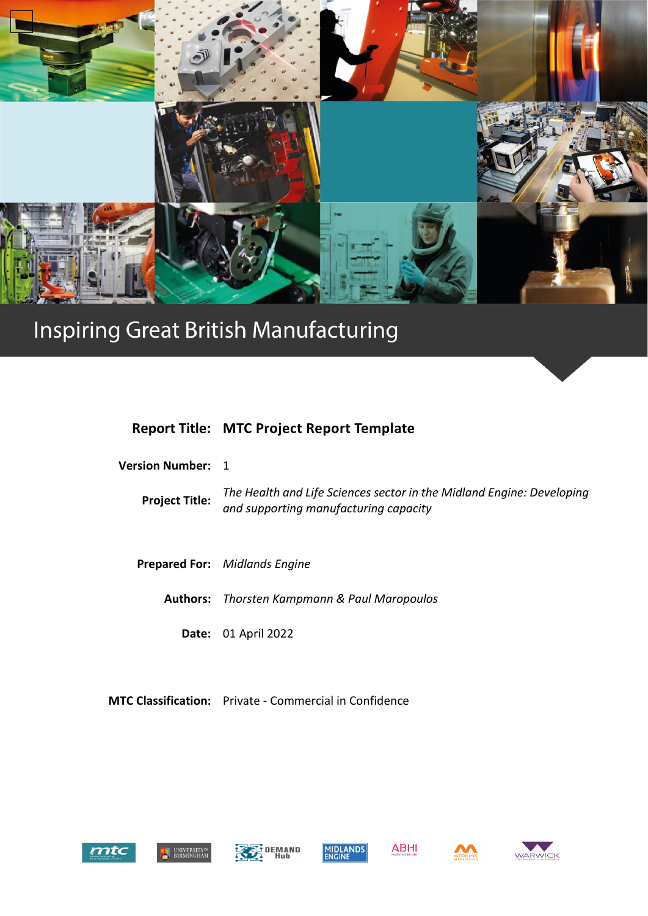

# Inspiring Great British Manufacturing

# **Report Title: MTC Project Report Template**

| <b>Version Number:</b> 1 |                                                                                                                |
|--------------------------|----------------------------------------------------------------------------------------------------------------|
| <b>Project Title:</b>    | The Health and Life Sciences sector in the Midland Engine: Developing<br>and supporting manufacturing capacity |
|                          |                                                                                                                |
|                          | <b>Prepared For:</b> Midlands Engine                                                                           |
|                          | <b>Authors:</b> Thorsten Kampmann & Paul Maropoulos                                                            |
|                          | <b>Date: 01 April 2022</b>                                                                                     |
|                          |                                                                                                                |

**MTC Classification:** Private - Commercial in Confidence













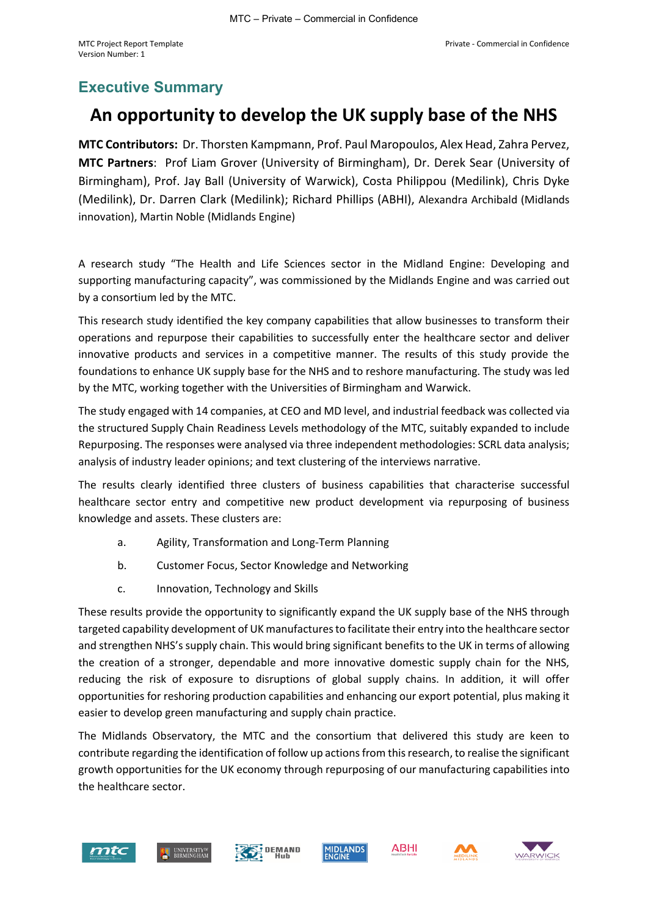# <span id="page-1-0"></span>**Executive Summary**

# **An opportunity to develop the UK supply base of the NHS**

**MTC Contributors:** Dr. Thorsten Kampmann, Prof. Paul Maropoulos, Alex Head, Zahra Pervez, **MTC Partners**: Prof Liam Grover (University of Birmingham), Dr. Derek Sear (University of Birmingham), Prof. Jay Ball (University of Warwick), Costa Philippou (Medilink), Chris Dyke (Medilink), Dr. Darren Clark (Medilink); Richard Phillips (ABHI), Alexandra Archibald (Midlands innovation), Martin Noble (Midlands Engine)

A research study "The Health and Life Sciences sector in the Midland Engine: Developing and supporting manufacturing capacity", was commissioned by the Midlands Engine and was carried out by a consortium led by the MTC.

This research study identified the key company capabilities that allow businesses to transform their operations and repurpose their capabilities to successfully enter the healthcare sector and deliver innovative products and services in a competitive manner. The results of this study provide the foundations to enhance UK supply base for the NHS and to reshore manufacturing. The study was led by the MTC, working together with the Universities of Birmingham and Warwick.

The study engaged with 14 companies, at CEO and MD level, and industrial feedback was collected via the structured Supply Chain Readiness Levels methodology of the MTC, suitably expanded to include Repurposing. The responses were analysed via three independent methodologies: SCRL data analysis; analysis of industry leader opinions; and text clustering of the interviews narrative.

The results clearly identified three clusters of business capabilities that characterise successful healthcare sector entry and competitive new product development via repurposing of business knowledge and assets. These clusters are:

- a. Agility, Transformation and Long-Term Planning
- b. Customer Focus, Sector Knowledge and Networking
- c. Innovation, Technology and Skills

These results provide the opportunity to significantly expand the UK supply base of the NHS through targeted capability development of UK manufactures to facilitate their entry into the healthcare sector and strengthen NHS's supply chain. This would bring significant benefits to the UK in terms of allowing the creation of a stronger, dependable and more innovative domestic supply chain for the NHS, reducing the risk of exposure to disruptions of global supply chains. In addition, it will offer opportunities for reshoring production capabilities and enhancing our export potential, plus making it easier to develop green manufacturing and supply chain practice.

The Midlands Observatory, the MTC and the consortium that delivered this study are keen to contribute regarding the identification of follow up actions from this research, to realise the significant growth opportunities for the UK economy through repurposing of our manufacturing capabilities into the healthcare sector.









**ABHI** 



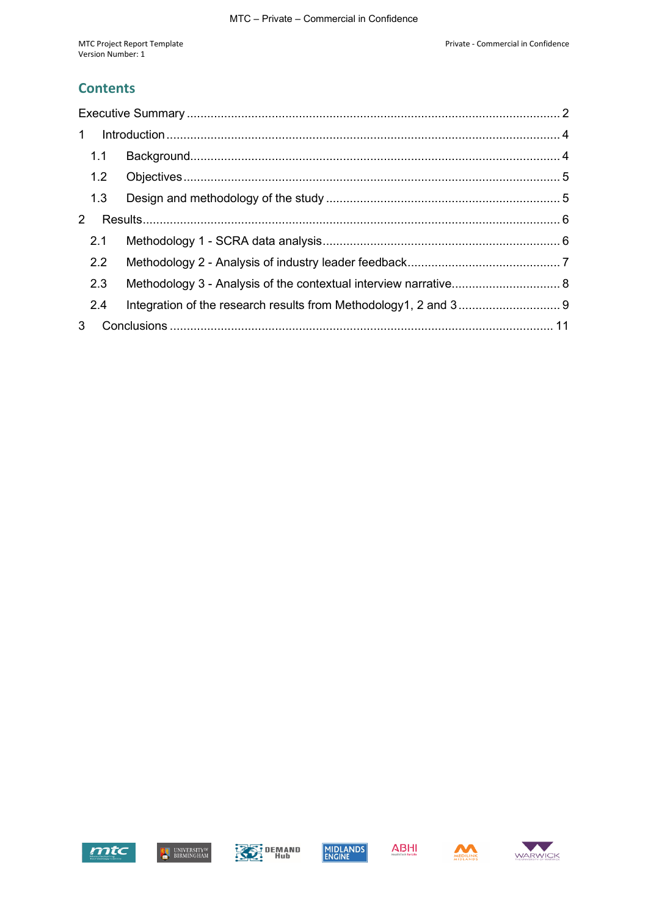#### **Contents**

| $\mathbf{1}$ |               |                                                                  |  |
|--------------|---------------|------------------------------------------------------------------|--|
|              | 1.1           |                                                                  |  |
|              |               |                                                                  |  |
|              | 1.3           |                                                                  |  |
| $\mathbf{2}$ |               |                                                                  |  |
|              | 2.1           |                                                                  |  |
|              | $2.2^{\circ}$ |                                                                  |  |
|              | 2.3           | Methodology 3 - Analysis of the contextual interview narrative 8 |  |
|              | 2.4           |                                                                  |  |
| 3            |               |                                                                  |  |







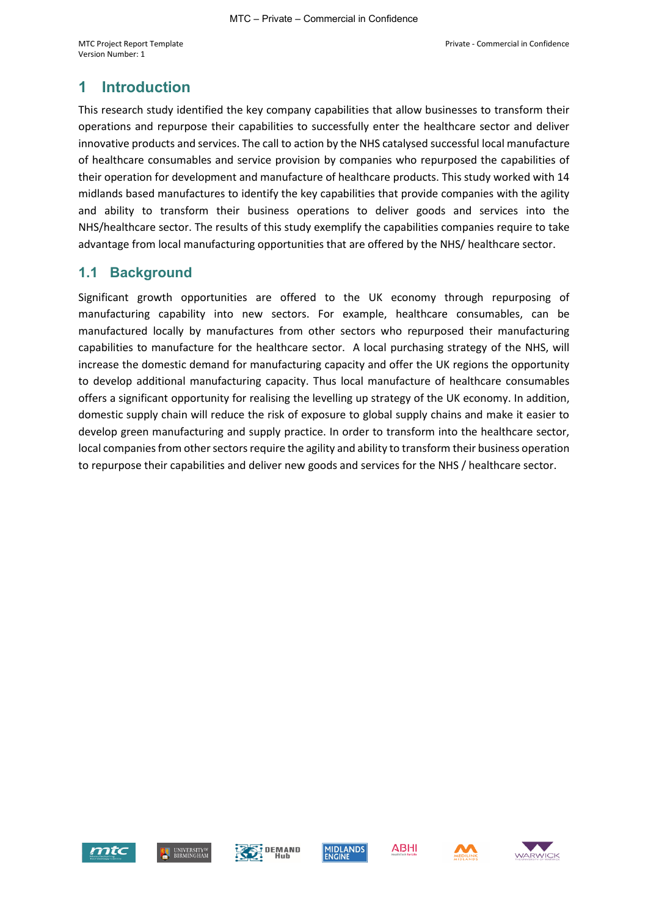## <span id="page-3-0"></span>**1 Introduction**

This research study identified the key company capabilities that allow businesses to transform their operations and repurpose their capabilities to successfully enter the healthcare sector and deliver innovative products and services. The call to action by the NHS catalysed successful local manufacture of healthcare consumables and service provision by companies who repurposed the capabilities of their operation for development and manufacture of healthcare products. This study worked with 14 midlands based manufactures to identify the key capabilities that provide companies with the agility and ability to transform their business operations to deliver goods and services into the NHS/healthcare sector. The results of this study exemplify the capabilities companies require to take advantage from local manufacturing opportunities that are offered by the NHS/ healthcare sector.

#### <span id="page-3-1"></span>**1.1 Background**

Significant growth opportunities are offered to the UK economy through repurposing of manufacturing capability into new sectors. For example, healthcare consumables, can be manufactured locally by manufactures from other sectors who repurposed their manufacturing capabilities to manufacture for the healthcare sector. A local purchasing strategy of the NHS, will increase the domestic demand for manufacturing capacity and offer the UK regions the opportunity to develop additional manufacturing capacity. Thus local manufacture of healthcare consumables offers a significant opportunity for realising the levelling up strategy of the UK economy. In addition, domestic supply chain will reduce the risk of exposure to global supply chains and make it easier to develop green manufacturing and supply practice. In order to transform into the healthcare sector, local companies from other sectors require the agility and ability to transform their business operation to repurpose their capabilities and deliver new goods and services for the NHS / healthcare sector.











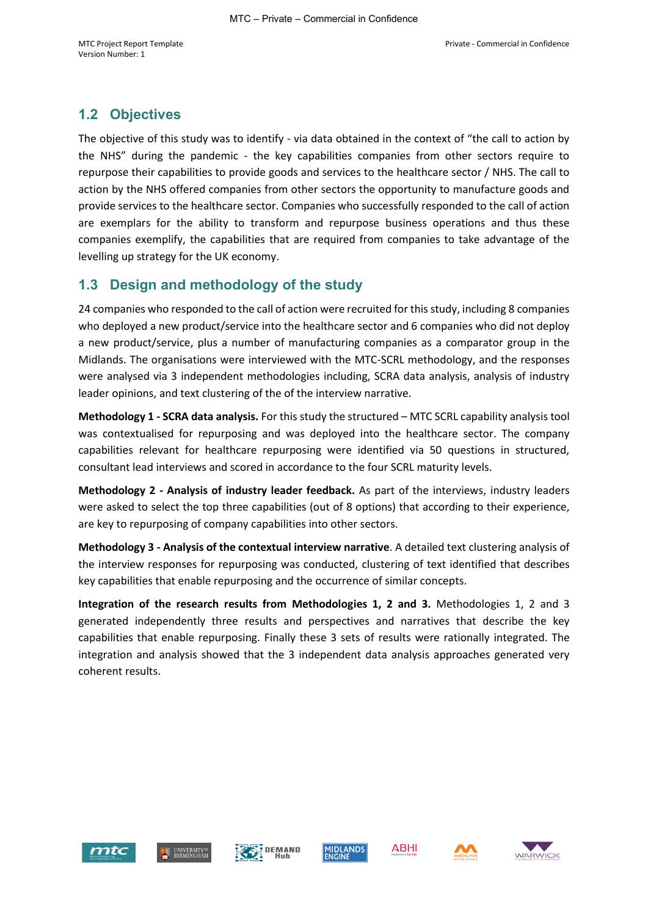## <span id="page-4-0"></span>**1.2 Objectives**

The objective of this study was to identify - via data obtained in the context of "the call to action by the NHS" during the pandemic - the key capabilities companies from other sectors require to repurpose their capabilities to provide goods and services to the healthcare sector / NHS. The call to action by the NHS offered companies from other sectors the opportunity to manufacture goods and provide services to the healthcare sector. Companies who successfully responded to the call of action are exemplars for the ability to transform and repurpose business operations and thus these companies exemplify, the capabilities that are required from companies to take advantage of the levelling up strategy for the UK economy.

#### <span id="page-4-1"></span>**1.3 Design and methodology of the study**

24 companies who responded to the call of action were recruited for this study, including 8 companies who deployed a new product/service into the healthcare sector and 6 companies who did not deploy a new product/service, plus a number of manufacturing companies as a comparator group in the Midlands. The organisations were interviewed with the MTC-SCRL methodology, and the responses were analysed via 3 independent methodologies including, SCRA data analysis, analysis of industry leader opinions, and text clustering of the of the interview narrative.

**Methodology 1 - SCRA data analysis.** For this study the structured – MTC SCRL capability analysis tool was contextualised for repurposing and was deployed into the healthcare sector. The company capabilities relevant for healthcare repurposing were identified via 50 questions in structured, consultant lead interviews and scored in accordance to the four SCRL maturity levels.

**Methodology 2 - Analysis of industry leader feedback.** As part of the interviews, industry leaders were asked to select the top three capabilities (out of 8 options) that according to their experience, are key to repurposing of company capabilities into other sectors.

**Methodology 3 - Analysis of the contextual interview narrative**. A detailed text clustering analysis of the interview responses for repurposing was conducted, clustering of text identified that describes key capabilities that enable repurposing and the occurrence of similar concepts.

**Integration of the research results from Methodologies 1, 2 and 3.** Methodologies 1, 2 and 3 generated independently three results and perspectives and narratives that describe the key capabilities that enable repurposing. Finally these 3 sets of results were rationally integrated. The integration and analysis showed that the 3 independent data analysis approaches generated very coherent results.











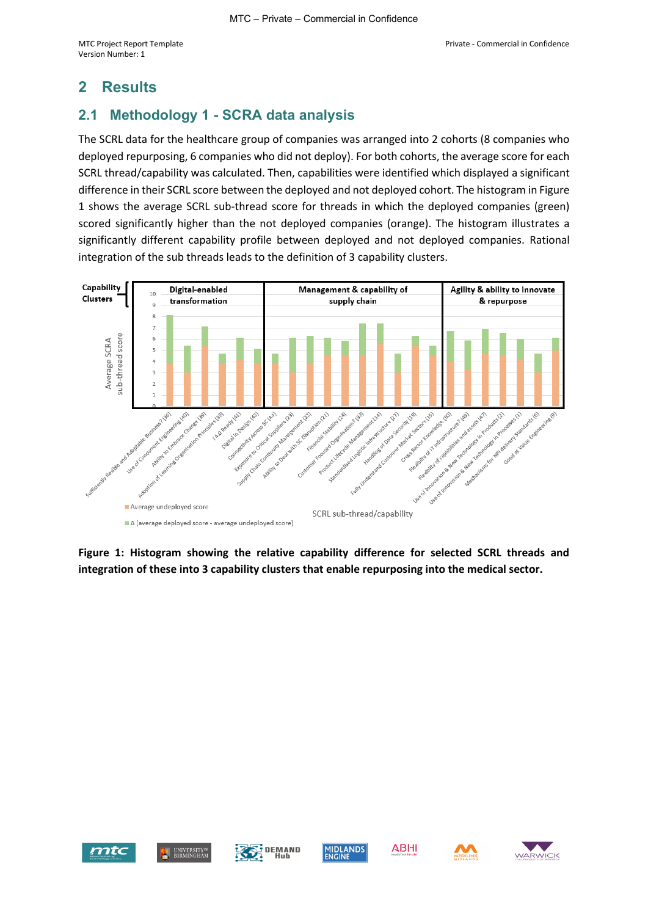### <span id="page-5-0"></span>**2 Results**

#### <span id="page-5-1"></span>**2.1 Methodology 1 - SCRA data analysis**

The SCRL data for the healthcare group of companies was arranged into 2 cohorts (8 companies who deployed repurposing, 6 companies who did not deploy). For both cohorts, the average score for each SCRL thread/capability was calculated. Then, capabilities were identified which displayed a significant difference in their SCRL score between the deployed and not deployed cohort. The histogram in Figure 1 shows the average SCRL sub-thread score for threads in which the deployed companies (green) scored significantly higher than the not deployed companies (orange). The histogram illustrates a significantly different capability profile between deployed and not deployed companies. Rational integration of the sub threads leads to the definition of 3 capability clusters.



**Figure 1: Histogram showing the relative capability difference for selected SCRL threads and integration of these into 3 capability clusters that enable repurposing into the medical sector.** 









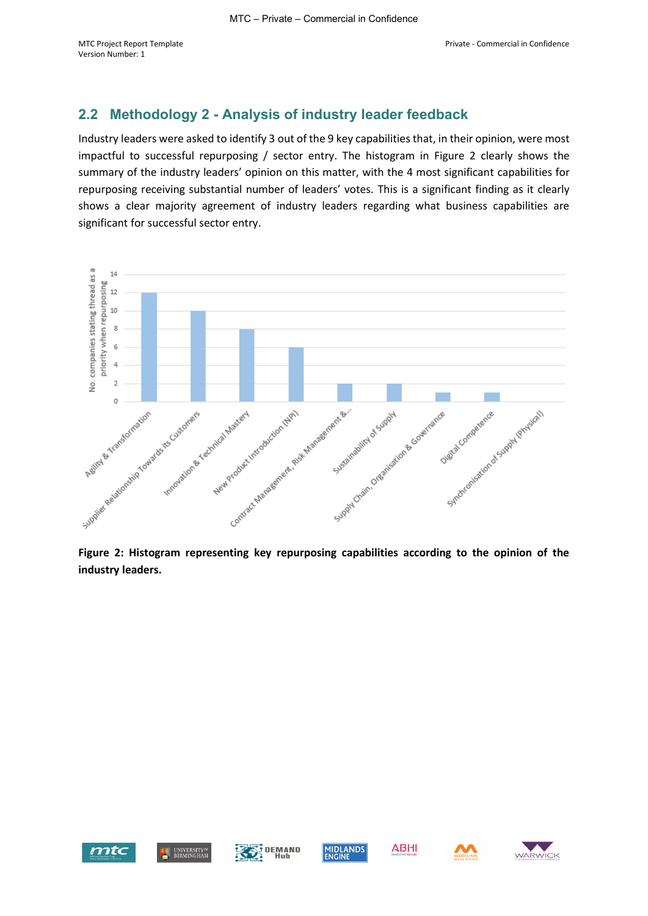#### <span id="page-6-0"></span>**2.2 Methodology 2 - Analysis of industry leader feedback**

Industry leaders were asked to identify 3 out of the 9 key capabilities that, in their opinion, were most impactful to successful repurposing / sector entry. The histogram in Figure 2 clearly shows the summary of the industry leaders' opinion on this matter, with the 4 most significant capabilities for repurposing receiving substantial number of leaders' votes. This is a significant finding as it clearly shows a clear majority agreement of industry leaders regarding what business capabilities are significant for successful sector entry.



**Figure 2: Histogram representing key repurposing capabilities according to the opinion of the industry leaders.** 









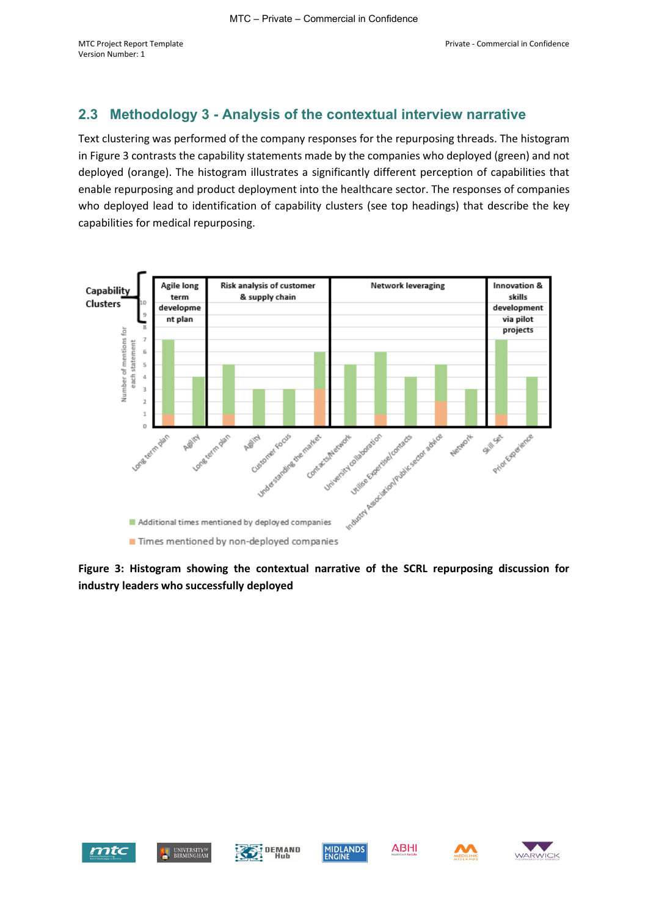#### <span id="page-7-0"></span>**2.3 Methodology 3 - Analysis of the contextual interview narrative**

Text clustering was performed of the company responses for the repurposing threads. The histogram in Figure 3 contrasts the capability statements made by the companies who deployed (green) and not deployed (orange). The histogram illustrates a significantly different perception of capabilities that enable repurposing and product deployment into the healthcare sector. The responses of companies who deployed lead to identification of capability clusters (see top headings) that describe the key capabilities for medical repurposing.



**Figure 3: Histogram showing the contextual narrative of the SCRL repurposing discussion for industry leaders who successfully deployed**









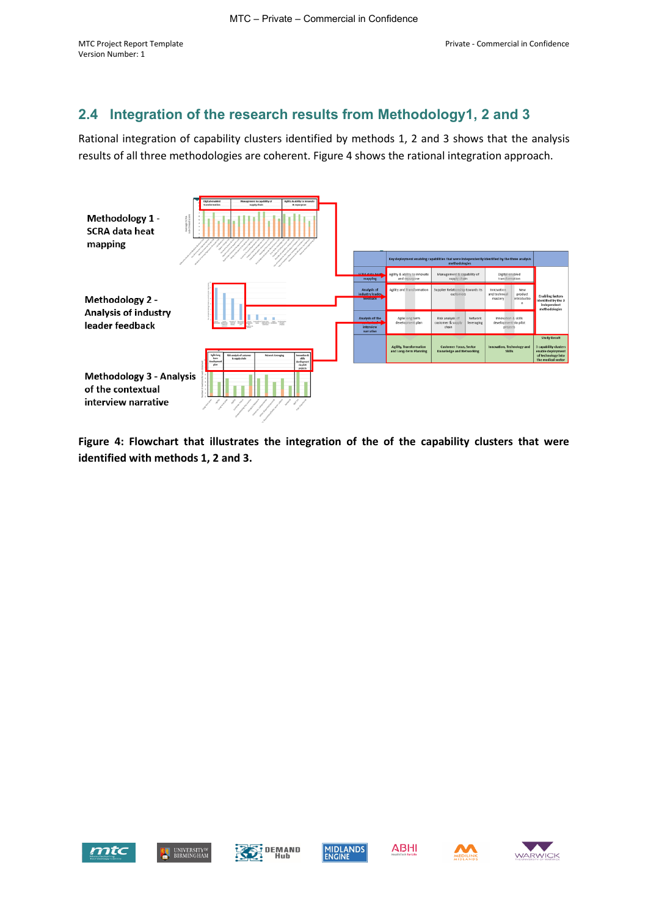## <span id="page-8-0"></span>**2.4 Integration of the research results from Methodology1, 2 and 3**

Rational integration of capability clusters identified by methods 1, 2 and 3 shows that the analysis results of all three methodologies are coherent. Figure 4 shows the rational integration approach.



**Figure 4: Flowchart that illustrates the integration of the of the capability clusters that were identified with methods 1, 2 and 3.** 







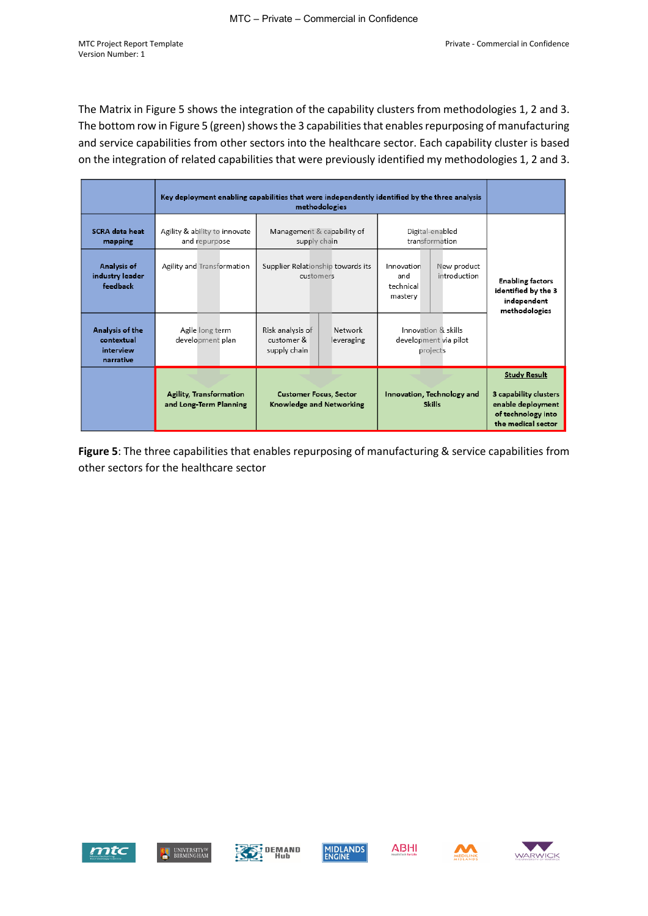The Matrix in Figure 5 shows the integration of the capability clusters from methodologies 1, 2 and 3. The bottom row in Figure 5 (green) shows the 3 capabilities that enables repurposing of manufacturing and service capabilities from other sectors into the healthcare sector. Each capability cluster is based on the integration of related capabilities that were previously identified my methodologies 1, 2 and 3.

|                                                         | Key deployment enabling capabilities that were independently identified by the three analysis                                |                                                                         |                                                                          |                                                                                                               |
|---------------------------------------------------------|------------------------------------------------------------------------------------------------------------------------------|-------------------------------------------------------------------------|--------------------------------------------------------------------------|---------------------------------------------------------------------------------------------------------------|
| <b>SCRA</b> data heat<br>mapping                        | Agility & ability to innovate<br>and repurpose                                                                               | Management & capability of<br>supply chain                              | Digital-enabled<br>transformation                                        |                                                                                                               |
| Analysis of<br>industry leader<br>feedback              | Agility and Transformation                                                                                                   | Supplier Relationship towards its<br>customers                          | New product<br>Innovation<br>introduction<br>and<br>technical<br>mastery | <b>Enabling factors</b><br>identified by the 3<br>independent<br>methodologies                                |
| Analysis of the<br>contextual<br>interview<br>narrative | Agile long term<br>development plan                                                                                          | Risk analysis of<br>Network<br>customer &<br>leveraging<br>supply chain | Innovation & skills<br>development via pilot<br>projects                 |                                                                                                               |
|                                                         | <b>Agility, Transformation</b><br><b>Customer Focus, Sector</b><br>and Long-Term Planning<br><b>Knowledge and Networking</b> |                                                                         | Innovation, Technology and<br><b>Skills</b>                              | <b>Study Result</b><br>3 capability clusters<br>enable deployment<br>of technology into<br>the medical sector |

**Figure 5**: The three capabilities that enables repurposing of manufacturing & service capabilities from other sectors for the healthcare sector







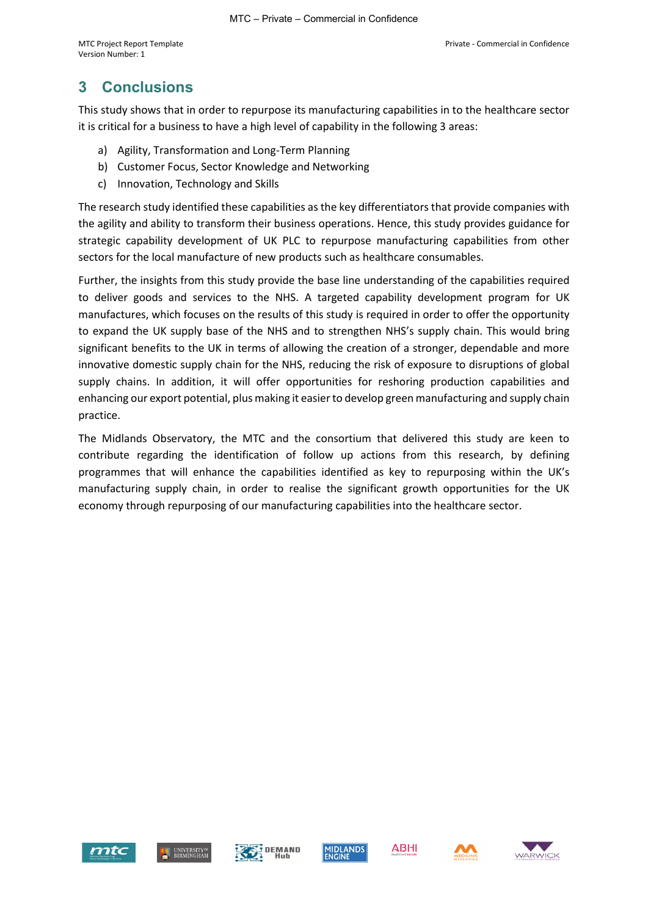## <span id="page-10-0"></span>**3 Conclusions**

This study shows that in order to repurpose its manufacturing capabilities in to the healthcare sector it is critical for a business to have a high level of capability in the following 3 areas:

- a) Agility, Transformation and Long-Term Planning
- b) Customer Focus, Sector Knowledge and Networking
- c) Innovation, Technology and Skills

The research study identified these capabilities as the key differentiators that provide companies with the agility and ability to transform their business operations. Hence, this study provides guidance for strategic capability development of UK PLC to repurpose manufacturing capabilities from other sectors for the local manufacture of new products such as healthcare consumables.

Further, the insights from this study provide the base line understanding of the capabilities required to deliver goods and services to the NHS. A targeted capability development program for UK manufactures, which focuses on the results of this study is required in order to offer the opportunity to expand the UK supply base of the NHS and to strengthen NHS's supply chain. This would bring significant benefits to the UK in terms of allowing the creation of a stronger, dependable and more innovative domestic supply chain for the NHS, reducing the risk of exposure to disruptions of global supply chains. In addition, it will offer opportunities for reshoring production capabilities and enhancing our export potential, plus making it easier to develop green manufacturing and supply chain practice.

The Midlands Observatory, the MTC and the consortium that delivered this study are keen to contribute regarding the identification of follow up actions from this research, by defining programmes that will enhance the capabilities identified as key to repurposing within the UK's manufacturing supply chain, in order to realise the significant growth opportunities for the UK economy through repurposing of our manufacturing capabilities into the healthcare sector.